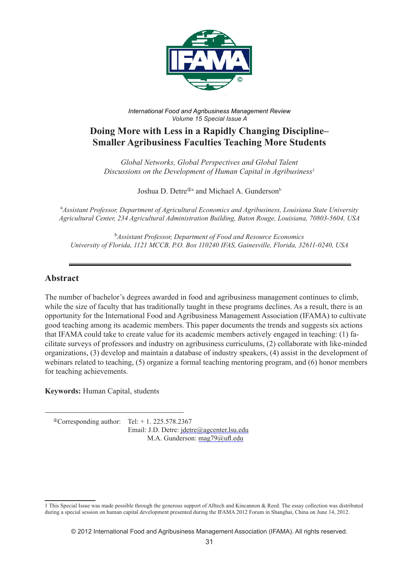

*International Food and Agribusiness Management Review Volume 15 Special Issue A*

# **Doing More with Less in a Rapidly Changing Discipline– Smaller Agribusiness Faculties Teaching More Students**

*Global Networks, Global Perspectives and Global Talent Discussions on the Development of Human Capital in Agribusiness1*

Joshua D. Detre<sup> $\Phi$ a</sup> and Michael A. Gunderson<sup>b</sup>

a *Assistant Professor, Department of Agricultural Economics and Agribusiness, Louisiana State University Agricultural Center, 234 Agricultural Administration Building, Baton Rouge, Louisiana, 70803-5604, USA*

b *Assistant Professor, Department of Food and Resource Economics University of Florida, 1121 MCCB, P.O. Box 110240 IFAS, Gainesville, Florida, 32611-0240, USA*

## **Abstract**

The number of bachelor's degrees awarded in food and agribusiness management continues to climb, while the size of faculty that has traditionally taught in these programs declines. As a result, there is an opportunity for the International Food and Agribusiness Management Association (IFAMA) to cultivate good teaching among its academic members. This paper documents the trends and suggests six actions that IFAMA could take to create value for its academic members actively engaged in teaching: (1) facilitate surveys of professors and industry on agribusiness curriculums, (2) collaborate with like-minded organizations, (3) develop and maintain a database of industry speakers, (4) assist in the development of webinars related to teaching, (5) organize a formal teaching mentoring program, and (6) honor members for teaching achievements.

**Keywords:** Human Capital, students

 $^{\circ}$ Corresponding author: Tel: + 1. 225.578.2367 Email: J.D. Detre: jdetre@agcenter.lsu.edu M.A. Gunderson: mag79@ufl.edu

<sup>1</sup> This Special Issue was made possible through the generous support of Alltech and Kincannon & Reed. The essay collection was distributed during a special session on human capital development presented during the IFAMA 2012 Forum in Shanghai, China on June 14, 2012.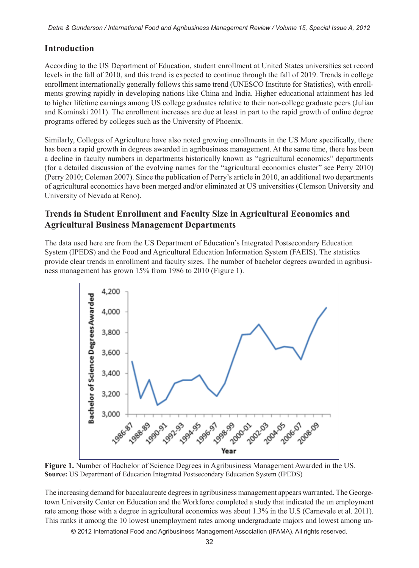*Detre & Gunderson / International Food and Agribusiness Management Review / Volume 15, Special Issue A, 2012*

## **Introduction**

According to the US Department of Education, student enrollment at United States universities set record levels in the fall of 2010, and this trend is expected to continue through the fall of 2019. Trends in college enrollment internationally generally follows this same trend (UNESCO Institute for Statistics), with enrollments growing rapidly in developing nations like China and India. Higher educational attainment has led to higher lifetime earnings among US college graduates relative to their non-college graduate peers (Julian and Kominski 2011). The enrollment increases are due at least in part to the rapid growth of online degree programs offered by colleges such as the University of Phoenix.

Similarly, Colleges of Agriculture have also noted growing enrollments in the US More specifically, there has been a rapid growth in degrees awarded in agribusiness management. At the same time, there has been a decline in faculty numbers in departments historically known as "agricultural economics" departments (for a detailed discussion of the evolving names for the "agricultural economics cluster" see Perry 2010) (Perry 2010; Coleman 2007). Since the publication of Perry's article in 2010, an additional two departments of agricultural economics have been merged and/or eliminated at US universities (Clemson University and University of Nevada at Reno).

# **Trends in Student Enrollment and Faculty Size in Agricultural Economics and Agricultural Business Management Departments**

The data used here are from the US Department of Education's Integrated Postsecondary Education System (IPEDS) and the Food and Agricultural Education Information System (FAEIS). The statistics provide clear trends in enrollment and faculty sizes. The number of bachelor degrees awarded in agribusiness management has grown 15% from 1986 to 2010 (Figure 1).



**Figure 1.** Number of Bachelor of Science Degrees in Agribusiness Management Awarded in the US. **Source:** US Department of Education Integrated Postsecondary Education System (IPEDS)

The increasing demand for baccalaureate degrees in agribusiness management appears warranted. The Georgetown University Center on Education and the Workforce completed a study that indicated the un employment rate among those with a degree in agricultural economics was about 1.3% in the U.S (Carnevale et al. 2011). This ranks it among the 10 lowest unemployment rates among undergraduate majors and lowest among un-

© 2012 International Food and Agribusiness Management Association (IFAMA). All rights reserved.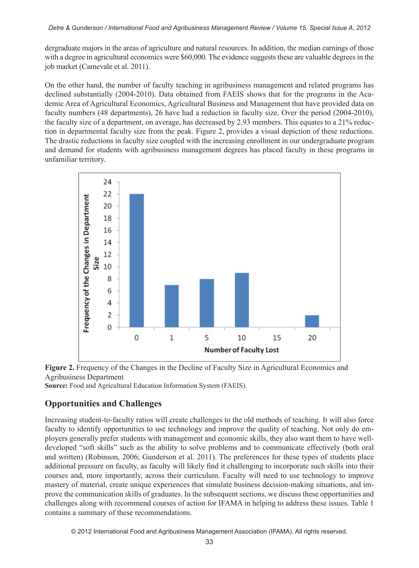#### *Detre & Gunderson / International Food and Agribusiness Management Review / Volume 15, Special Issue A, 2012*

dergraduate majors in the areas of agriculture and natural resources. In addition, the median earnings of those with a degree in agricultural economics were \$60,000. The evidence suggests these are valuable degrees in the job market (Carnevale et al. 2011).

On the other hand, the number of faculty teaching in agribusiness management and related programs has declined substantially (2004-2010). Data obtained from FAEIS shows that for the programs in the Academic Area of Agricultural Economics, Agricultural Business and Management that have provided data on faculty numbers (48 departments), 26 have had a reduction in faculty size. Over the period (2004-2010), the faculty size of a department, on average, has decreased by 2.93 members. This equates to a 21% reduction in departmental faculty size from the peak. Figure 2, provides a visual depiction of these reductions. The drastic reductions in faculty size coupled with the increasing enrollment in our undergraduate program and demand for students with agribusiness management degrees has placed faculty in these programs in unfamiliar territory.





**Source:** Food and Agricultural Education Information System (FAEIS).

# **Opportunities and Challenges**

Increasing student-to-faculty ratios will create challenges to the old methods of teaching. It will also force faculty to identify opportunities to use technology and improve the quality of teaching. Not only do employers generally prefer students with management and economic skills, they also want them to have welldeveloped "soft skills" such as the ability to solve problems and to communicate effectively (both oral and written) (Robinson, 2006; Gunderson et al. 2011). The preferences for these types of students place additional pressure on faculty, as faculty will likely find it challenging to incorporate such skills into their courses and, more importantly, across their curriculum. Faculty will need to use technology to improve mastery of material, create unique experiences that simulate business decision-making situations, and improve the communication skills of graduates. In the subsequent sections, we discuss these opportunities and challenges along with recommend courses of action for IFAMA in helping to address these issues. Table 1 contains a summary of these recommendations.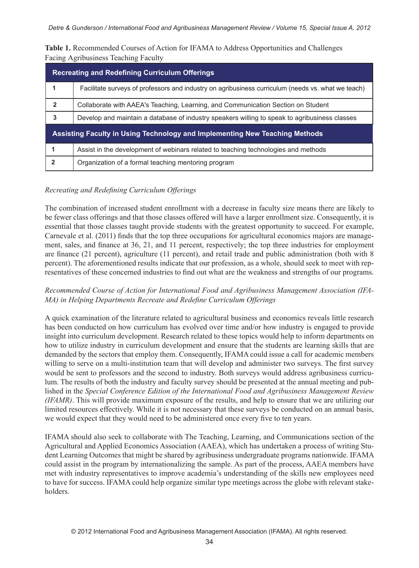**Table 1.** Recommended Courses of Action for IFAMA to Address Opportunities and Challenges Facing Agribusiness Teaching Faculty

| <b>Recreating and Redefining Curriculum Offerings</b>                       |                                                                                                    |
|-----------------------------------------------------------------------------|----------------------------------------------------------------------------------------------------|
|                                                                             | Facilitate surveys of professors and industry on agribusiness curriculum (needs vs. what we teach) |
| $\overline{2}$                                                              | Collaborate with AAEA's Teaching, Learning, and Communication Section on Student                   |
| 3                                                                           | Develop and maintain a database of industry speakers willing to speak to agribusiness classes      |
| Assisting Faculty in Using Technology and Implementing New Teaching Methods |                                                                                                    |
|                                                                             | Assist in the development of webinars related to teaching technologies and methods                 |
| $\mathbf{2}$                                                                | Organization of a formal teaching mentoring program                                                |

### *Recreating and Redefining Curriculum Offerings*

The combination of increased student enrollment with a decrease in faculty size means there are likely to be fewer class offerings and that those classes offered will have a larger enrollment size. Consequently, it is essential that those classes taught provide students with the greatest opportunity to succeed. For example, Carnevale et al. (2011) finds that the top three occupations for agricultural economics majors are management, sales, and finance at 36, 21, and 11 percent, respectively; the top three industries for employment are finance (21 percent), agriculture (11 percent), and retail trade and public administration (both with 8 percent). The aforementioned results indicate that our profession, as a whole, should seek to meet with representatives of these concerned industries to find out what are the weakness and strengths of our programs.

### *Recommended Course of Action for International Food and Agribusiness Management Association (IFA-MA) in Helping Departments Recreate and Redefine Curriculum Offerings*

A quick examination of the literature related to agricultural business and economics reveals little research has been conducted on how curriculum has evolved over time and/or how industry is engaged to provide insight into curriculum development. Research related to these topics would help to inform departments on how to utilize industry in curriculum development and ensure that the students are learning skills that are demanded by the sectors that employ them. Consequently, IFAMA could issue a call for academic members willing to serve on a multi-institution team that will develop and administer two surveys. The first survey would be sent to professors and the second to industry. Both surveys would address agribusiness curriculum. The results of both the industry and faculty survey should be presented at the annual meeting and published in the *Special Conference Edition of the International Food and Agribusiness Management Review (IFAMR)*. This will provide maximum exposure of the results, and help to ensure that we are utilizing our limited resources effectively. While it is not necessary that these surveys be conducted on an annual basis, we would expect that they would need to be administered once every five to ten years.

IFAMA should also seek to collaborate with The Teaching, Learning, and Communications section of the Agricultural and Applied Economics Association (AAEA), which has undertaken a process of writing Student Learning Outcomes that might be shared by agribusiness undergraduate programs nationwide. IFAMA could assist in the program by internationalizing the sample. As part of the process, AAEA members have met with industry representatives to improve academia's understanding of the skills new employees need to have for success. IFAMA could help organize similar type meetings across the globe with relevant stakeholders.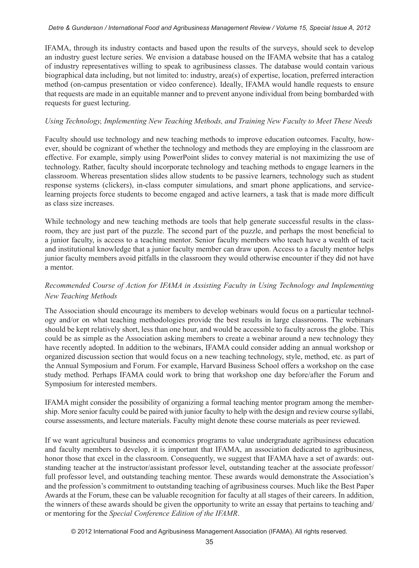#### *Detre & Gunderson / International Food and Agribusiness Management Review / Volume 15, Special Issue A, 2012*

IFAMA, through its industry contacts and based upon the results of the surveys, should seek to develop an industry guest lecture series. We envision a database housed on the IFAMA website that has a catalog of industry representatives willing to speak to agribusiness classes. The database would contain various biographical data including, but not limited to: industry, area(s) of expertise, location, preferred interaction method (on-campus presentation or video conference). Ideally, IFAMA would handle requests to ensure that requests are made in an equitable manner and to prevent anyone individual from being bombarded with requests for guest lecturing.

### *Using Technology, Implementing New Teaching Methods, and Training New Faculty to Meet These Needs*

Faculty should use technology and new teaching methods to improve education outcomes. Faculty, however, should be cognizant of whether the technology and methods they are employing in the classroom are effective. For example, simply using PowerPoint slides to convey material is not maximizing the use of technology. Rather, faculty should incorporate technology and teaching methods to engage learners in the classroom. Whereas presentation slides allow students to be passive learners, technology such as student response systems (clickers), in-class computer simulations, and smart phone applications, and servicelearning projects force students to become engaged and active learners, a task that is made more difficult as class size increases.

While technology and new teaching methods are tools that help generate successful results in the classroom, they are just part of the puzzle. The second part of the puzzle, and perhaps the most beneficial to a junior faculty, is access to a teaching mentor. Senior faculty members who teach have a wealth of tacit and institutional knowledge that a junior faculty member can draw upon. Access to a faculty mentor helps junior faculty members avoid pitfalls in the classroom they would otherwise encounter if they did not have a mentor.

## *Recommended Course of Action for IFAMA in Assisting Faculty in Using Technology and Implementing New Teaching Methods*

The Association should encourage its members to develop webinars would focus on a particular technology and/or on what teaching methodologies provide the best results in large classrooms. The webinars should be kept relatively short, less than one hour, and would be accessible to faculty across the globe. This could be as simple as the Association asking members to create a webinar around a new technology they have recently adopted. In addition to the webinars, IFAMA could consider adding an annual workshop or organized discussion section that would focus on a new teaching technology, style, method, etc. as part of the Annual Symposium and Forum. For example, Harvard Business School offers a workshop on the case study method. Perhaps IFAMA could work to bring that workshop one day before/after the Forum and Symposium for interested members.

IFAMA might consider the possibility of organizing a formal teaching mentor program among the membership. More senior faculty could be paired with junior faculty to help with the design and review course syllabi, course assessments, and lecture materials. Faculty might denote these course materials as peer reviewed.

If we want agricultural business and economics programs to value undergraduate agribusiness education and faculty members to develop, it is important that IFAMA, an association dedicated to agribusiness, honor those that excel in the classroom. Consequently, we suggest that IFAMA have a set of awards: outstanding teacher at the instructor/assistant professor level, outstanding teacher at the associate professor/ full professor level, and outstanding teaching mentor. These awards would demonstrate the Association's and the profession's commitment to outstanding teaching of agribusiness courses. Much like the Best Paper Awards at the Forum, these can be valuable recognition for faculty at all stages of their careers. In addition, the winners of these awards should be given the opportunity to write an essay that pertains to teaching and/ or mentoring for the *Special Conference Edition of the IFAMR*.